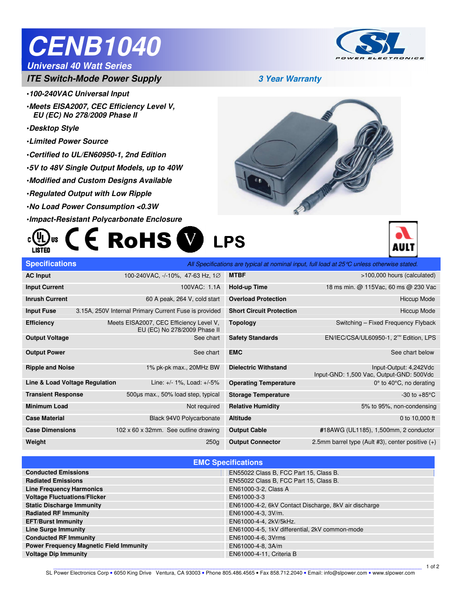# **CENB1040**

### **Universal 40 Watt Series**

## **ITE Switch-Mode Power Supply 3 Year Warranty**

- •**100-240VAC Universal Input**
- •**Meets EISA2007, CEC Efficiency Level V, EU (EC) No 278/2009 Phase II**
- •**Desktop Style**

Ī

- •**Limited Power Source**
- •**Certified to UL/EN60950-1, 2nd Edition**
- •**5V to 48V Single Output Models, up to 40W**
- •**Modified and Custom Designs Available**
- •**Regulated Output with Low Ripple**
- •**No Load Power Consumption <0.3W**
- •**Impact-Resistant Polycarbonate Enclosure**

#### **CE ROHS W LPS** (ŲL c **LISTED**



| <b>Specifications</b>          |                                                                         |                                 | All Specifications are typical at nominal input, full load at 25°C unless otherwise stated. |
|--------------------------------|-------------------------------------------------------------------------|---------------------------------|---------------------------------------------------------------------------------------------|
| <b>AC Input</b>                | 100-240VAC, -/-10%, 47-63 Hz, 1Ø                                        | <b>MTBF</b>                     | >100,000 hours (calculated)                                                                 |
| <b>Input Current</b>           | 100VAC: 1.1A                                                            | <b>Hold-up Time</b>             | 18 ms min. @ 115Vac, 60 ms @ 230 Vac                                                        |
| <b>Inrush Current</b>          | 60 A peak, 264 V, cold start                                            | <b>Overload Protection</b>      | <b>Hiccup Mode</b>                                                                          |
| <b>Input Fuse</b>              | 3.15A, 250V Internal Primary Current Fuse is provided                   | <b>Short Circuit Protection</b> | <b>Hiccup Mode</b>                                                                          |
| <b>Efficiency</b>              | Meets EISA2007, CEC Efficiency Level V,<br>EU (EC) No 278/2009 Phase II | <b>Topology</b>                 | Switching - Fixed Frequency Flyback                                                         |
| <b>Output Voltage</b>          | See chart                                                               | <b>Safety Standards</b>         | EN/IEC/CSA/UL60950-1, 2 <sup>nd</sup> Edition, LPS                                          |
| <b>Output Power</b>            | See chart                                                               | <b>EMC</b>                      | See chart below                                                                             |
| <b>Ripple and Noise</b>        | 1% pk-pk max., 20MHz BW                                                 | <b>Dielectric Withstand</b>     | Input-Output: 4,242Vdc<br>Input-GND: 1,500 Vac, Output-GND: 500Vdc                          |
| Line & Load Voltage Regulation | Line: +/- 1%, Load: +/-5%                                               | <b>Operating Temperature</b>    | $0^\circ$ to 40 $^\circ$ C, no derating                                                     |
| <b>Transient Response</b>      | 500µs max., 50% load step, typical                                      | <b>Storage Temperature</b>      | -30 to $+85^{\circ}$ C                                                                      |
| <b>Minimum Load</b>            | Not required                                                            | <b>Relative Humidity</b>        | 5% to 95%, non-condensing                                                                   |
| <b>Case Material</b>           | Black 94V0 Polycarbonate                                                | <b>Altitude</b>                 | 0 to 10,000 ft                                                                              |
| <b>Case Dimensions</b>         | 102 x 60 x 32mm. See outline drawing                                    | <b>Output Cable</b>             | #18AWG (UL1185), 1,500mm, 2 conductor                                                       |
| Weight                         | 250 <sub>g</sub>                                                        | <b>Output Connector</b>         | 2.5mm barrel type (Ault #3), center positive $(+)$                                          |

| <b>EMC Specifications</b>                      |                                                       |  |  |
|------------------------------------------------|-------------------------------------------------------|--|--|
| <b>Conducted Emissions</b>                     | EN55022 Class B, FCC Part 15, Class B.                |  |  |
| <b>Radiated Emissions</b>                      | EN55022 Class B, FCC Part 15, Class B.                |  |  |
| <b>Line Frequency Harmonics</b>                | EN61000-3-2, Class A                                  |  |  |
| <b>Voltage Fluctuations/Flicker</b>            | EN61000-3-3                                           |  |  |
| <b>Static Discharge Immunity</b>               | EN61000-4-2, 6kV Contact Discharge, 8kV air discharge |  |  |
| <b>Radiated RF Immunity</b>                    | EN61000-4-3, 3V/m.                                    |  |  |
| <b>EFT/Burst Immunity</b>                      | EN61000-4-4, 2kV/5kHz.                                |  |  |
| <b>Line Surge Immunity</b>                     | EN61000-4-5, 1kV differential, 2kV common-mode        |  |  |
| <b>Conducted RF Immunity</b>                   | EN61000-4-6, 3Vrms                                    |  |  |
| <b>Power Frequency Magnetic Field Immunity</b> | EN61000-4-8, 3A/m                                     |  |  |
| <b>Voltage Dip Immunity</b>                    | EN61000-4-11, Criteria B                              |  |  |
|                                                |                                                       |  |  |